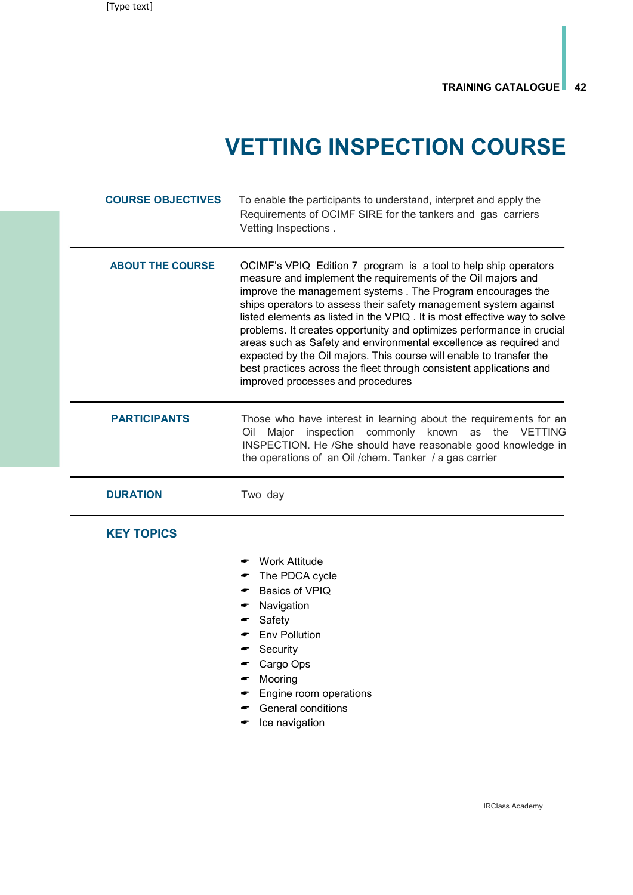## VETTING INSPECTION COURSE

| <b>COURSE OBJECTIVES</b> | To enable the participants to understand, interpret and apply the<br>Requirements of OCIMF SIRE for the tankers and gas carriers<br>Vetting Inspections.                                                                                                                                                                                                                                                                                                                                                                                                                                                                                                                        |
|--------------------------|---------------------------------------------------------------------------------------------------------------------------------------------------------------------------------------------------------------------------------------------------------------------------------------------------------------------------------------------------------------------------------------------------------------------------------------------------------------------------------------------------------------------------------------------------------------------------------------------------------------------------------------------------------------------------------|
| <b>ABOUT THE COURSE</b>  | OCIMF's VPIQ Edition 7 program is a tool to help ship operators<br>measure and implement the requirements of the Oil majors and<br>improve the management systems . The Program encourages the<br>ships operators to assess their safety management system against<br>listed elements as listed in the VPIQ. It is most effective way to solve<br>problems. It creates opportunity and optimizes performance in crucial<br>areas such as Safety and environmental excellence as required and<br>expected by the Oil majors. This course will enable to transfer the<br>best practices across the fleet through consistent applications and<br>improved processes and procedures |
| <b>PARTICIPANTS</b>      | Those who have interest in learning about the requirements for an<br>Major inspection commonly known as the VETTING<br>Oil<br>INSPECTION. He /She should have reasonable good knowledge in<br>the operations of an Oil / chem. Tanker / a gas carrier                                                                                                                                                                                                                                                                                                                                                                                                                           |
| <b>DURATION</b>          | Two day                                                                                                                                                                                                                                                                                                                                                                                                                                                                                                                                                                                                                                                                         |
| <b>KEY TOPICS</b>        |                                                                                                                                                                                                                                                                                                                                                                                                                                                                                                                                                                                                                                                                                 |
|                          | Work Attitude<br>The PDCA cycle<br>Basics of VPIQ<br>Navigation<br>Safety<br><b>Env Pollution</b><br>Security<br>Cargo Ops<br>Mooring<br>Engine room operations<br>General conditions<br>Ice navigation                                                                                                                                                                                                                                                                                                                                                                                                                                                                         |